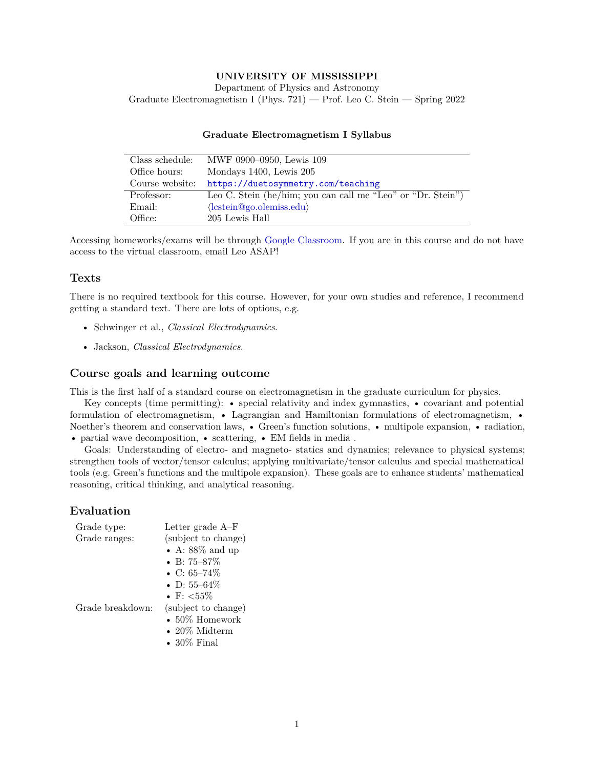### **UNIVERSITY OF MISSISSIPPI**

Department of Physics and Astronomy Graduate Electromagnetism I (Phys. 721) — Prof. Leo C. Stein — Spring 2022

| Class schedule: | MWF 0900-0950, Lewis 109                                    |
|-----------------|-------------------------------------------------------------|
| Office hours:   | Mondays 1400, Lewis 205                                     |
| Course website: | https://duetosymmetry.com/teaching                          |
| Professor:      | Leo C. Stein (he/him; you can call me "Leo" or "Dr. Stein") |
| Email:          | $\langle$ lcstein@go.olemiss.edu $\rangle$                  |
| Office:         | 205 Lewis Hall                                              |

#### **Graduate Electromagnetism I Syllabus**

Accessing homeworks/exams will be through [Google Classroom.](https://classroom.google.com/) If you are in this course and do not have access to the virtual classroom, email Leo ASAP!

### **Texts**

There is no required textbook for this course. However, for your own studies and reference, I recommend getting a standard text. There are lots of options, e.g.

- Schwinger et al., *Classical Electrodynamics*.
- Jackson, *Classical Electrodynamics*.

#### **Course goals and learning outcome**

This is the first half of a standard course on electromagnetism in the graduate curriculum for physics.

Key concepts (time permitting): • special relativity and index gymnastics, • covariant and potential formulation of electromagnetism, • Lagrangian and Hamiltonian formulations of electromagnetism, • Noether's theorem and conservation laws, • Green's function solutions, • multipole expansion, • radiation, • partial wave decomposition, • scattering, • EM fields in media.

Goals: Understanding of electro- and magneto- statics and dynamics; relevance to physical systems; strengthen tools of vector/tensor calculus; applying multivariate/tensor calculus and special mathematical tools (e.g. Green's functions and the multipole expansion). These goals are to enhance students' mathematical reasoning, critical thinking, and analytical reasoning.

#### **Evaluation**

| Grade type:      | Letter grade A-F       |
|------------------|------------------------|
| Grade ranges:    | (subject to change)    |
|                  | • A: $88\%$ and up     |
|                  | • B: 75–87%            |
|                  | • C: $65-74\%$         |
|                  | • D: 55–64 $\%$        |
|                  | • F: $<$ 55%           |
| Grade breakdown: | (subject to change)    |
|                  | $\bullet$ 50% Homework |
|                  | $\bullet$ 20% Midterm  |
|                  | • $30\%$ Final         |
|                  |                        |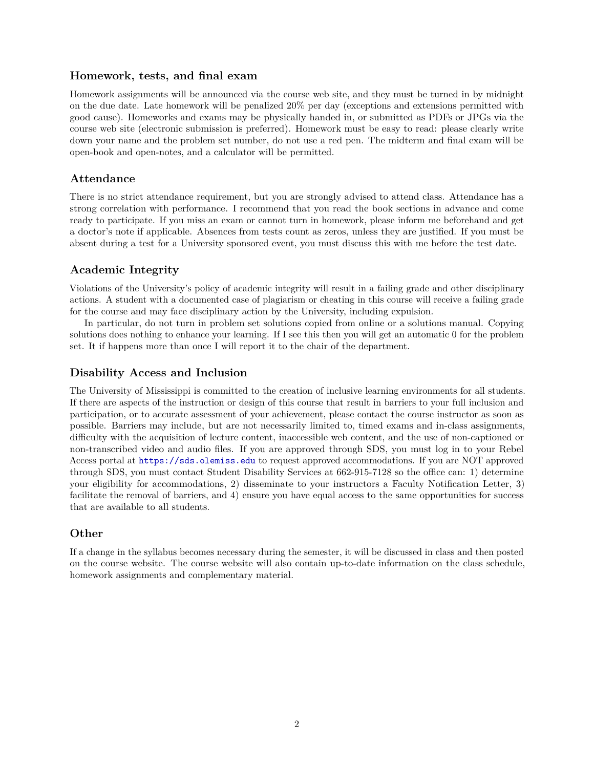### **Homework, tests, and final exam**

Homework assignments will be announced via the course web site, and they must be turned in by midnight on the due date. Late homework will be penalized 20% per day (exceptions and extensions permitted with good cause). Homeworks and exams may be physically handed in, or submitted as PDFs or JPGs via the course web site (electronic submission is preferred). Homework must be easy to read: please clearly write down your name and the problem set number, do not use a red pen. The midterm and final exam will be open-book and open-notes, and a calculator will be permitted.

### **Attendance**

There is no strict attendance requirement, but you are strongly advised to attend class. Attendance has a strong correlation with performance. I recommend that you read the book sections in advance and come ready to participate. If you miss an exam or cannot turn in homework, please inform me beforehand and get a doctor's note if applicable. Absences from tests count as zeros, unless they are justified. If you must be absent during a test for a University sponsored event, you must discuss this with me before the test date.

# **Academic Integrity**

Violations of the University's policy of academic integrity will result in a failing grade and other disciplinary actions. A student with a documented case of plagiarism or cheating in this course will receive a failing grade for the course and may face disciplinary action by the University, including expulsion.

In particular, do not turn in problem set solutions copied from online or a solutions manual. Copying solutions does nothing to enhance your learning. If I see this then you will get an automatic 0 for the problem set. It if happens more than once I will report it to the chair of the department.

## **Disability Access and Inclusion**

The University of Mississippi is committed to the creation of inclusive learning environments for all students. If there are aspects of the instruction or design of this course that result in barriers to your full inclusion and participation, or to accurate assessment of your achievement, please contact the course instructor as soon as possible. Barriers may include, but are not necessarily limited to, timed exams and in-class assignments, difficulty with the acquisition of lecture content, inaccessible web content, and the use of non-captioned or non-transcribed video and audio files. If you are approved through SDS, you must log in to your Rebel Access portal at <https://sds.olemiss.edu> to request approved accommodations. If you are NOT approved through SDS, you must contact Student Disability Services at 662-915-7128 so the office can: 1) determine your eligibility for accommodations, 2) disseminate to your instructors a Faculty Notification Letter, 3) facilitate the removal of barriers, and 4) ensure you have equal access to the same opportunities for success that are available to all students.

### **Other**

If a change in the syllabus becomes necessary during the semester, it will be discussed in class and then posted on the course website. The course website will also contain up-to-date information on the class schedule, homework assignments and complementary material.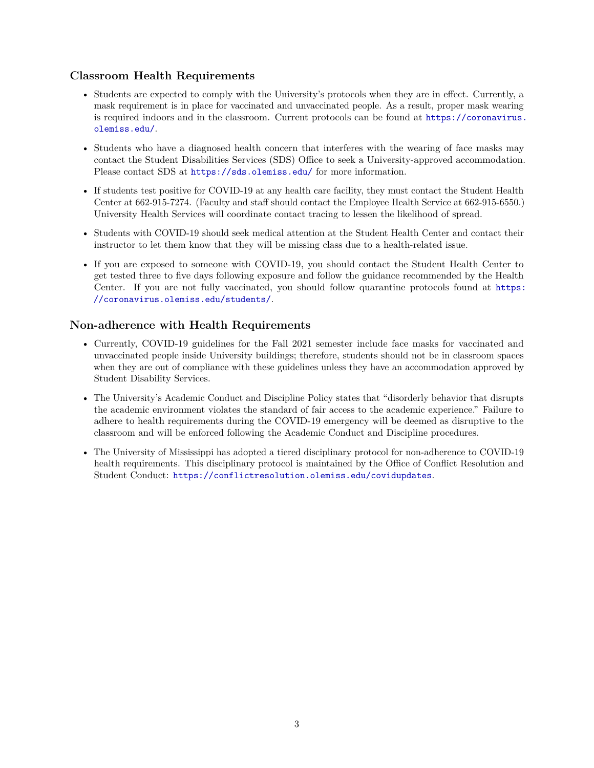## **Classroom Health Requirements**

- Students are expected to comply with the University's protocols when they are in effect. Currently, a mask requirement is in place for vaccinated and unvaccinated people. As a result, proper mask wearing is required indoors and in the classroom. Current protocols can be found at [https://coronavirus.](https://coronavirus.olemiss.edu/) [olemiss.edu/](https://coronavirus.olemiss.edu/).
- Students who have a diagnosed health concern that interferes with the wearing of face masks may contact the Student Disabilities Services (SDS) Office to seek a University-approved accommodation. Please contact SDS at <https://sds.olemiss.edu/> for more information.
- If students test positive for COVID-19 at any health care facility, they must contact the Student Health Center at 662-915-7274. (Faculty and staff should contact the Employee Health Service at 662-915-6550.) University Health Services will coordinate contact tracing to lessen the likelihood of spread.
- Students with COVID-19 should seek medical attention at the Student Health Center and contact their instructor to let them know that they will be missing class due to a health-related issue.
- If you are exposed to someone with COVID-19, you should contact the Student Health Center to get tested three to five days following exposure and follow the guidance recommended by the Health Center. If you are not fully vaccinated, you should follow quarantine protocols found at [https:](https://coronavirus.olemiss.edu/students/) [//coronavirus.olemiss.edu/students/](https://coronavirus.olemiss.edu/students/).

## **Non-adherence with Health Requirements**

- Currently, COVID-19 guidelines for the Fall 2021 semester include face masks for vaccinated and unvaccinated people inside University buildings; therefore, students should not be in classroom spaces when they are out of compliance with these guidelines unless they have an accommodation approved by Student Disability Services.
- The University's Academic Conduct and Discipline Policy states that "disorderly behavior that disrupts the academic environment violates the standard of fair access to the academic experience." Failure to adhere to health requirements during the COVID-19 emergency will be deemed as disruptive to the classroom and will be enforced following the Academic Conduct and Discipline procedures.
- The University of Mississippi has adopted a tiered disciplinary protocol for non-adherence to COVID-19 health requirements. This disciplinary protocol is maintained by the Office of Conflict Resolution and Student Conduct: <https://conflictresolution.olemiss.edu/covidupdates>.